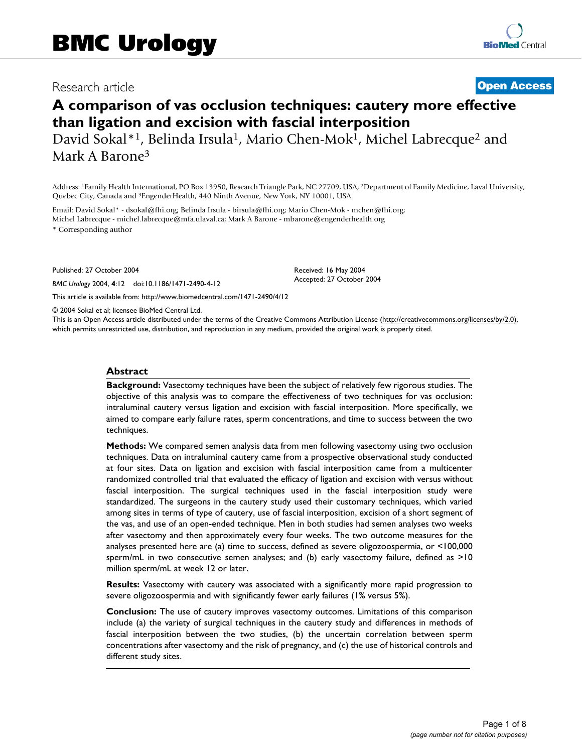# Research article **[Open Access](http://www.biomedcentral.com/info/about/charter/)**

# **A comparison of vas occlusion techniques: cautery more effective than ligation and excision with fascial interposition**

David Sokal<sup>\*1</sup>, Belinda Irsula<sup>1</sup>, Mario Chen-Mok<sup>1</sup>, Michel Labrecque<sup>2</sup> and Mark A Barone3

Address: 1Family Health International, PO Box 13950, Research Triangle Park, NC 27709, USA, 2Department of Family Medicine, Laval University, Quebec City, Canada and 3EngenderHealth, 440 Ninth Avenue, New York, NY 10001, USA

Email: David Sokal\* - dsokal@fhi.org; Belinda Irsula - birsula@fhi.org; Mario Chen-Mok - mchen@fhi.org; Michel Labrecque - michel.labrecque@mfa.ulaval.ca; Mark A Barone - mbarone@engenderhealth.org

\* Corresponding author

Published: 27 October 2004

*BMC Urology* 2004, **4**:12 doi:10.1186/1471-2490-4-12

[This article is available from: http://www.biomedcentral.com/1471-2490/4/12](http://www.biomedcentral.com/1471-2490/4/12)

© 2004 Sokal et al; licensee BioMed Central Ltd.

This is an Open Access article distributed under the terms of the Creative Commons Attribution License [\(http://creativecommons.org/licenses/by/2.0\)](http://creativecommons.org/licenses/by/2.0), which permits unrestricted use, distribution, and reproduction in any medium, provided the original work is properly cited.

Received: 16 May 2004 Accepted: 27 October 2004

#### **Abstract**

**Background:** Vasectomy techniques have been the subject of relatively few rigorous studies. The objective of this analysis was to compare the effectiveness of two techniques for vas occlusion: intraluminal cautery versus ligation and excision with fascial interposition. More specifically, we aimed to compare early failure rates, sperm concentrations, and time to success between the two techniques.

**Methods:** We compared semen analysis data from men following vasectomy using two occlusion techniques. Data on intraluminal cautery came from a prospective observational study conducted at four sites. Data on ligation and excision with fascial interposition came from a multicenter randomized controlled trial that evaluated the efficacy of ligation and excision with versus without fascial interposition. The surgical techniques used in the fascial interposition study were standardized. The surgeons in the cautery study used their customary techniques, which varied among sites in terms of type of cautery, use of fascial interposition, excision of a short segment of the vas, and use of an open-ended technique. Men in both studies had semen analyses two weeks after vasectomy and then approximately every four weeks. The two outcome measures for the analyses presented here are (a) time to success, defined as severe oligozoospermia, or <100,000 sperm/mL in two consecutive semen analyses; and (b) early vasectomy failure, defined as >10 million sperm/mL at week 12 or later.

**Results:** Vasectomy with cautery was associated with a significantly more rapid progression to severe oligozoospermia and with significantly fewer early failures (1% versus 5%).

**Conclusion:** The use of cautery improves vasectomy outcomes. Limitations of this comparison include (a) the variety of surgical techniques in the cautery study and differences in methods of fascial interposition between the two studies, (b) the uncertain correlation between sperm concentrations after vasectomy and the risk of pregnancy, and (c) the use of historical controls and different study sites.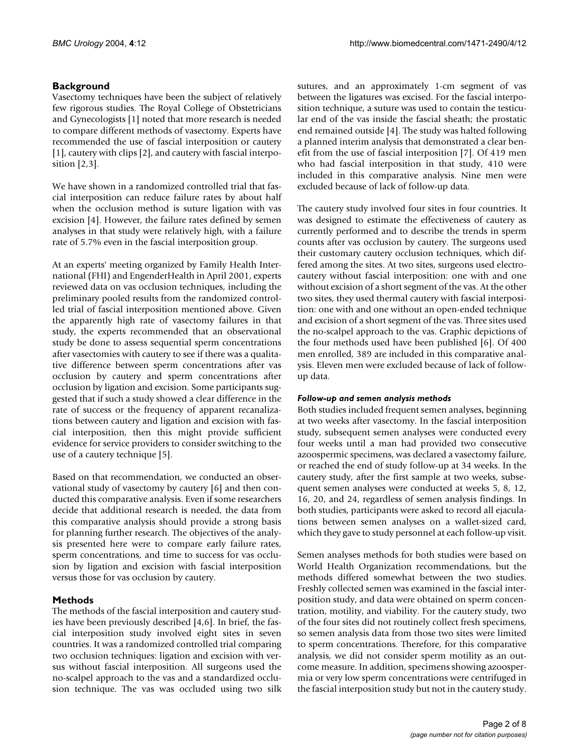# **Background**

Vasectomy techniques have been the subject of relatively few rigorous studies. The Royal College of Obstetricians and Gynecologists [1] noted that more research is needed to compare different methods of vasectomy. Experts have recommended the use of fascial interposition or cautery [1], cautery with clips [2], and cautery with fascial interposition [2,3].

We have shown in a randomized controlled trial that fascial interposition can reduce failure rates by about half when the occlusion method is suture ligation with vas excision [4]. However, the failure rates defined by semen analyses in that study were relatively high, with a failure rate of 5.7% even in the fascial interposition group.

At an experts' meeting organized by Family Health International (FHI) and EngenderHealth in April 2001, experts reviewed data on vas occlusion techniques, including the preliminary pooled results from the randomized controlled trial of fascial interposition mentioned above. Given the apparently high rate of vasectomy failures in that study, the experts recommended that an observational study be done to assess sequential sperm concentrations after vasectomies with cautery to see if there was a qualitative difference between sperm concentrations after vas occlusion by cautery and sperm concentrations after occlusion by ligation and excision. Some participants suggested that if such a study showed a clear difference in the rate of success or the frequency of apparent recanalizations between cautery and ligation and excision with fascial interposition, then this might provide sufficient evidence for service providers to consider switching to the use of a cautery technique [5].

Based on that recommendation, we conducted an observational study of vasectomy by cautery [6] and then conducted this comparative analysis. Even if some researchers decide that additional research is needed, the data from this comparative analysis should provide a strong basis for planning further research. The objectives of the analysis presented here were to compare early failure rates, sperm concentrations, and time to success for vas occlusion by ligation and excision with fascial interposition versus those for vas occlusion by cautery.

# **Methods**

The methods of the fascial interposition and cautery studies have been previously described [4,6]. In brief, the fascial interposition study involved eight sites in seven countries. It was a randomized controlled trial comparing two occlusion techniques: ligation and excision with versus without fascial interposition. All surgeons used the no-scalpel approach to the vas and a standardized occlusion technique. The vas was occluded using two silk sutures, and an approximately 1-cm segment of vas between the ligatures was excised. For the fascial interposition technique, a suture was used to contain the testicular end of the vas inside the fascial sheath; the prostatic end remained outside [4]. The study was halted following a planned interim analysis that demonstrated a clear benefit from the use of fascial interposition [7]. Of 419 men who had fascial interposition in that study, 410 were included in this comparative analysis. Nine men were excluded because of lack of follow-up data.

The cautery study involved four sites in four countries. It was designed to estimate the effectiveness of cautery as currently performed and to describe the trends in sperm counts after vas occlusion by cautery. The surgeons used their customary cautery occlusion techniques, which differed among the sites. At two sites, surgeons used electrocautery without fascial interposition: one with and one without excision of a short segment of the vas. At the other two sites, they used thermal cautery with fascial interposition: one with and one without an open-ended technique and excision of a short segment of the vas. Three sites used the no-scalpel approach to the vas. Graphic depictions of the four methods used have been published [6]. Of 400 men enrolled, 389 are included in this comparative analysis. Eleven men were excluded because of lack of followup data.

# *Follow-up and semen analysis methods*

Both studies included frequent semen analyses, beginning at two weeks after vasectomy. In the fascial interposition study, subsequent semen analyses were conducted every four weeks until a man had provided two consecutive azoospermic specimens, was declared a vasectomy failure, or reached the end of study follow-up at 34 weeks. In the cautery study, after the first sample at two weeks, subsequent semen analyses were conducted at weeks 5, 8, 12, 16, 20, and 24, regardless of semen analysis findings. In both studies, participants were asked to record all ejaculations between semen analyses on a wallet-sized card, which they gave to study personnel at each follow-up visit.

Semen analyses methods for both studies were based on World Health Organization recommendations, but the methods differed somewhat between the two studies. Freshly collected semen was examined in the fascial interposition study, and data were obtained on sperm concentration, motility, and viability. For the cautery study, two of the four sites did not routinely collect fresh specimens, so semen analysis data from those two sites were limited to sperm concentrations. Therefore, for this comparative analysis, we did not consider sperm motility as an outcome measure. In addition, specimens showing azoospermia or very low sperm concentrations were centrifuged in the fascial interposition study but not in the cautery study.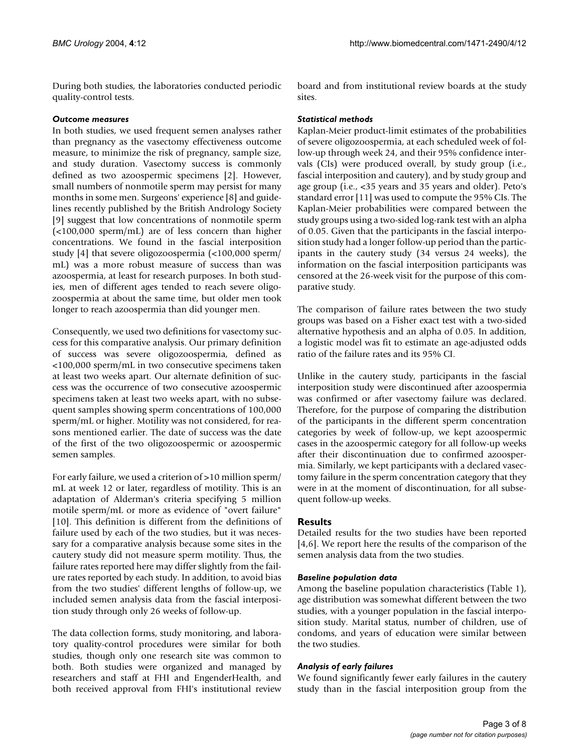During both studies, the laboratories conducted periodic quality-control tests.

#### *Outcome measures*

In both studies, we used frequent semen analyses rather than pregnancy as the vasectomy effectiveness outcome measure, to minimize the risk of pregnancy, sample size, and study duration. Vasectomy success is commonly defined as two azoospermic specimens [2]. However, small numbers of nonmotile sperm may persist for many months in some men. Surgeons' experience [8] and guidelines recently published by the British Andrology Society [9] suggest that low concentrations of nonmotile sperm (<100,000 sperm/mL) are of less concern than higher concentrations. We found in the fascial interposition study [4] that severe oligozoospermia (<100,000 sperm/ mL) was a more robust measure of success than was azoospermia, at least for research purposes. In both studies, men of different ages tended to reach severe oligozoospermia at about the same time, but older men took longer to reach azoospermia than did younger men.

Consequently, we used two definitions for vasectomy success for this comparative analysis. Our primary definition of success was severe oligozoospermia, defined as <100,000 sperm/mL in two consecutive specimens taken at least two weeks apart. Our alternate definition of success was the occurrence of two consecutive azoospermic specimens taken at least two weeks apart, with no subsequent samples showing sperm concentrations of 100,000 sperm/mL or higher. Motility was not considered, for reasons mentioned earlier. The date of success was the date of the first of the two oligozoospermic or azoospermic semen samples.

For early failure, we used a criterion of >10 million sperm/ mL at week 12 or later, regardless of motility. This is an adaptation of Alderman's criteria specifying 5 million motile sperm/mL or more as evidence of "overt failure" [10]. This definition is different from the definitions of failure used by each of the two studies, but it was necessary for a comparative analysis because some sites in the cautery study did not measure sperm motility. Thus, the failure rates reported here may differ slightly from the failure rates reported by each study. In addition, to avoid bias from the two studies' different lengths of follow-up, we included semen analysis data from the fascial interposition study through only 26 weeks of follow-up.

The data collection forms, study monitoring, and laboratory quality-control procedures were similar for both studies, though only one research site was common to both. Both studies were organized and managed by researchers and staff at FHI and EngenderHealth, and both received approval from FHI's institutional review

board and from institutional review boards at the study sites.

# *Statistical methods*

Kaplan-Meier product-limit estimates of the probabilities of severe oligozoospermia, at each scheduled week of follow-up through week 24, and their 95% confidence intervals (CIs) were produced overall, by study group (i.e., fascial interposition and cautery), and by study group and age group (i.e., <35 years and 35 years and older). Peto's standard error [11] was used to compute the 95% CIs. The Kaplan-Meier probabilities were compared between the study groups using a two-sided log-rank test with an alpha of 0.05. Given that the participants in the fascial interposition study had a longer follow-up period than the participants in the cautery study (34 versus 24 weeks), the information on the fascial interposition participants was censored at the 26-week visit for the purpose of this comparative study.

The comparison of failure rates between the two study groups was based on a Fisher exact test with a two-sided alternative hypothesis and an alpha of 0.05. In addition, a logistic model was fit to estimate an age-adjusted odds ratio of the failure rates and its 95% CI.

Unlike in the cautery study, participants in the fascial interposition study were discontinued after azoospermia was confirmed or after vasectomy failure was declared. Therefore, for the purpose of comparing the distribution of the participants in the different sperm concentration categories by week of follow-up, we kept azoospermic cases in the azoospermic category for all follow-up weeks after their discontinuation due to confirmed azoospermia. Similarly, we kept participants with a declared vasectomy failure in the sperm concentration category that they were in at the moment of discontinuation, for all subsequent follow-up weeks.

# **Results**

Detailed results for the two studies have been reported [4,6]. We report here the results of the comparison of the semen analysis data from the two studies.

# *Baseline population data*

Among the baseline population characteristics (Table [1\)](#page-3-0), age distribution was somewhat different between the two studies, with a younger population in the fascial interposition study. Marital status, number of children, use of condoms, and years of education were similar between the two studies.

# *Analysis of early failures*

We found significantly fewer early failures in the cautery study than in the fascial interposition group from the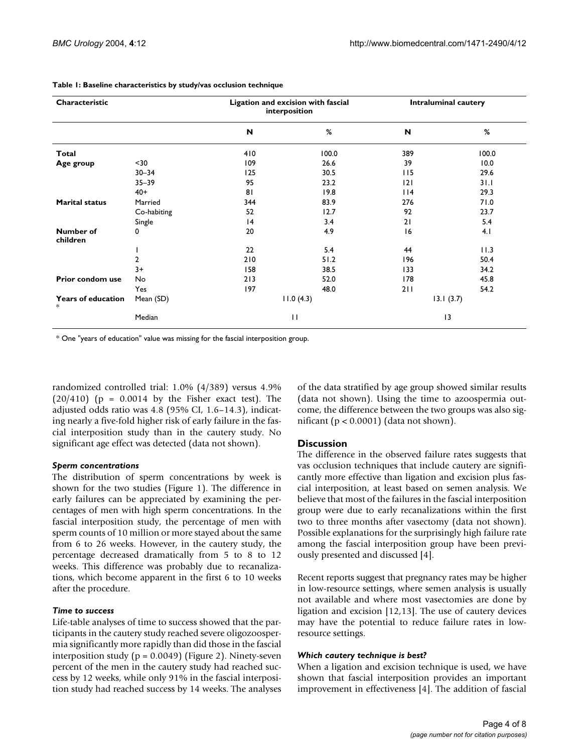| Characteristic                      |             | Ligation and excision with fascial<br>interposition |       | <b>Intraluminal cautery</b> |       |
|-------------------------------------|-------------|-----------------------------------------------------|-------|-----------------------------|-------|
|                                     |             | N                                                   | %     | N                           | %     |
| Total                               |             | 410                                                 | 100.0 | 389                         | 100.0 |
| Age group                           | $30$        | 109                                                 | 26.6  | 39                          | 10.0  |
|                                     | $30 - 34$   | 125                                                 | 30.5  | 115                         | 29.6  |
|                                     | $35 - 39$   | 95                                                  | 23.2  | 2                           | 31.1  |
|                                     | $40+$       | 81                                                  | 19.8  | 114                         | 29.3  |
| <b>Marital status</b>               | Married     | 344                                                 | 83.9  | 276                         | 71.0  |
|                                     | Co-habiting | 52                                                  | 12.7  | 92                          | 23.7  |
|                                     | Single      | 4                                                   | 3.4   | 21                          | 5.4   |
| Number of<br>children               | 0           | 20                                                  | 4.9   | 16                          | 4.1   |
|                                     |             | 22                                                  | 5.4   | 44                          | 11.3  |
|                                     | 2           | 210                                                 | 51.2  | 196                         | 50.4  |
|                                     | $3+$        | 158                                                 | 38.5  | 133                         | 34.2  |
| <b>Prior condom use</b>             | No          | 213                                                 | 52.0  | 178                         | 45.8  |
|                                     | Yes         | 197                                                 | 48.0  | 211                         | 54.2  |
| <b>Years of education</b><br>$\ast$ | Mean (SD)   | 11.0(4.3)                                           |       | 13.1(3.7)                   |       |
|                                     | Median      | $\mathbf{H}$                                        |       | 3                           |       |

<span id="page-3-0"></span>**Table 1: Baseline characteristics by study/vas occlusion technique**

\* One "years of education" value was missing for the fascial interposition group.

randomized controlled trial: 1.0% (4/389) versus 4.9%  $(20/410)$  (p = 0.0014 by the Fisher exact test). The adjusted odds ratio was 4.8 (95% CI, 1.6–14.3), indicating nearly a five-fold higher risk of early failure in the fascial interposition study than in the cautery study. No significant age effect was detected (data not shown).

# *Sperm concentrations*

The distribution of sperm concentrations by week is shown for the two studies (Figure [1](#page-4-0)). The difference in early failures can be appreciated by examining the percentages of men with high sperm concentrations. In the fascial interposition study, the percentage of men with sperm counts of 10 million or more stayed about the same from 6 to 26 weeks. However, in the cautery study, the percentage decreased dramatically from 5 to 8 to 12 weeks. This difference was probably due to recanalizations, which become apparent in the first 6 to 10 weeks after the procedure.

# *Time to success*

Life-table analyses of time to success showed that the participants in the cautery study reached severe oligozoospermia significantly more rapidly than did those in the fascial interposition study ( $p = 0.0049$ ) (Figure [2](#page-5-0)). Ninety-seven percent of the men in the cautery study had reached success by 12 weeks, while only 91% in the fascial interposition study had reached success by 14 weeks. The analyses

of the data stratified by age group showed similar results (data not shown). Using the time to azoospermia outcome, the difference between the two groups was also significant ( $p < 0.0001$ ) (data not shown).

# **Discussion**

The difference in the observed failure rates suggests that vas occlusion techniques that include cautery are significantly more effective than ligation and excision plus fascial interposition, at least based on semen analysis. We believe that most of the failures in the fascial interposition group were due to early recanalizations within the first two to three months after vasectomy (data not shown). Possible explanations for the surprisingly high failure rate among the fascial interposition group have been previously presented and discussed [4].

Recent reports suggest that pregnancy rates may be higher in low-resource settings, where semen analysis is usually not available and where most vasectomies are done by ligation and excision [12,13]. The use of cautery devices may have the potential to reduce failure rates in lowresource settings.

#### *Which cautery technique is best?*

When a ligation and excision technique is used, we have shown that fascial interposition provides an important improvement in effectiveness [4]. The addition of fascial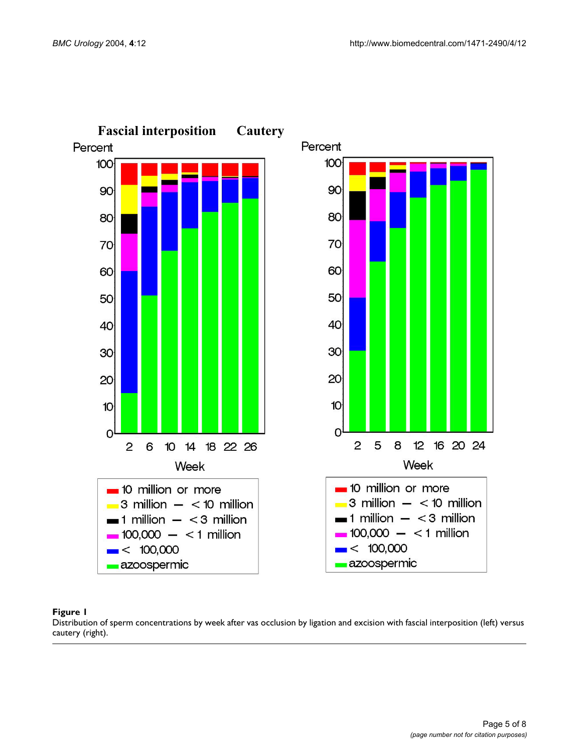<span id="page-4-0"></span>

# **Distribution of sperm concentrations by week after vas oc tion (left) versus cautery (right) Figure 1 clusion by ligation and excision with fascial interposi-**

Distribution of sperm concentrations by week after vas occlusion by ligation and excision with fascial interposition (left) versus cautery (right).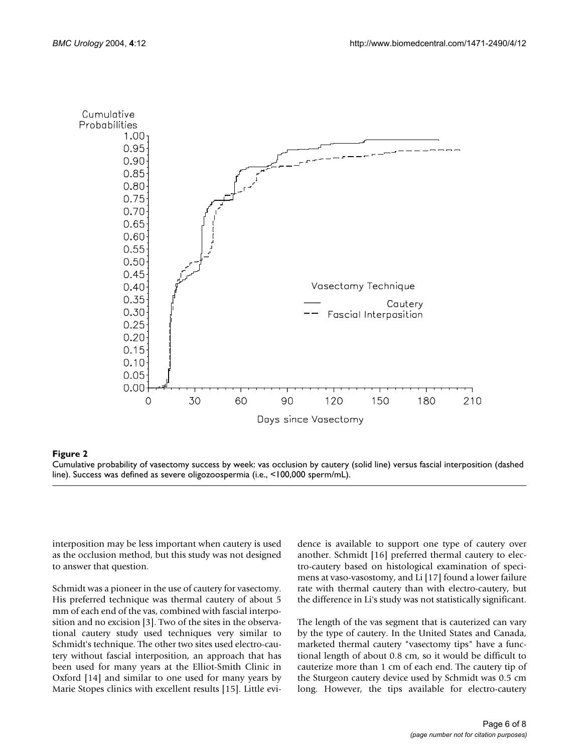<span id="page-5-0"></span>

**position (dashed line) Figure 2 Cumulative probability of vasectomy success by week: vas occlusion by cautery (solid line) versus fascial inter-**

Cumulative probability of vasectomy success by week: vas occlusion by cautery (solid line) versus fascial interposition (dashed line). Success was defined as severe oligozoospermia (i.e., <100,000 sperm/mL).

interposition may be less important when cautery is used as the occlusion method, but this study was not designed to answer that question.

Schmidt was a pioneer in the use of cautery for vasectomy. His preferred technique was thermal cautery of about 5 mm of each end of the vas, combined with fascial interposition and no excision [3]. Two of the sites in the observational cautery study used techniques very similar to Schmidt's technique. The other two sites used electro-cautery without fascial interposition, an approach that has been used for many years at the Elliot-Smith Clinic in Oxford [14] and similar to one used for many years by Marie Stopes clinics with excellent results [15]. Little evidence is available to support one type of cautery over another. Schmidt [16] preferred thermal cautery to electro-cautery based on histological examination of specimens at vaso-vasostomy, and Li [17] found a lower failure rate with thermal cautery than with electro-cautery, but the difference in Li's study was not statistically significant.

The length of the vas segment that is cauterized can vary by the type of cautery. In the United States and Canada, marketed thermal cautery "vasectomy tips" have a functional length of about 0.8 cm, so it would be difficult to cauterize more than 1 cm of each end. The cautery tip of the Sturgeon cautery device used by Schmidt was 0.5 cm long. However, the tips available for electro-cautery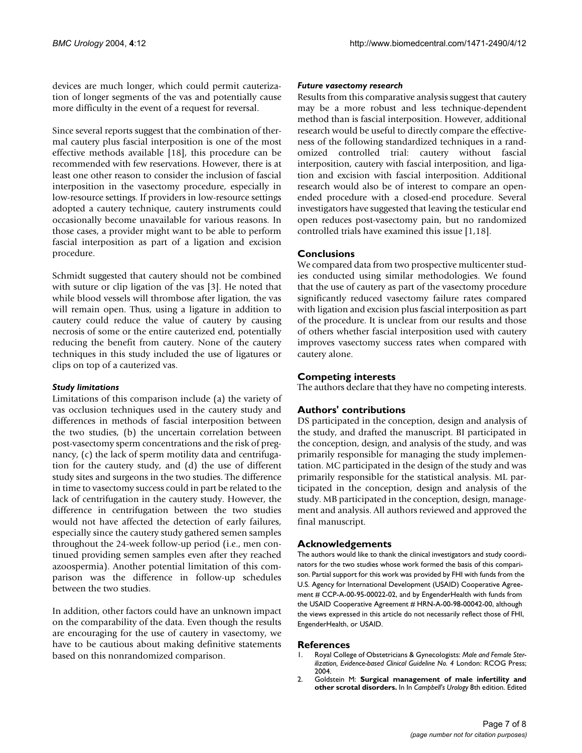devices are much longer, which could permit cauterization of longer segments of the vas and potentially cause more difficulty in the event of a request for reversal.

Since several reports suggest that the combination of thermal cautery plus fascial interposition is one of the most effective methods available [18], this procedure can be recommended with few reservations. However, there is at least one other reason to consider the inclusion of fascial interposition in the vasectomy procedure, especially in low-resource settings. If providers in low-resource settings adopted a cautery technique, cautery instruments could occasionally become unavailable for various reasons. In those cases, a provider might want to be able to perform fascial interposition as part of a ligation and excision procedure.

Schmidt suggested that cautery should not be combined with suture or clip ligation of the vas [3]. He noted that while blood vessels will thrombose after ligation, the vas will remain open. Thus, using a ligature in addition to cautery could reduce the value of cautery by causing necrosis of some or the entire cauterized end, potentially reducing the benefit from cautery. None of the cautery techniques in this study included the use of ligatures or clips on top of a cauterized vas.

# *Study limitations*

Limitations of this comparison include (a) the variety of vas occlusion techniques used in the cautery study and differences in methods of fascial interposition between the two studies, (b) the uncertain correlation between post-vasectomy sperm concentrations and the risk of pregnancy, (c) the lack of sperm motility data and centrifugation for the cautery study, and (d) the use of different study sites and surgeons in the two studies. The difference in time to vasectomy success could in part be related to the lack of centrifugation in the cautery study. However, the difference in centrifugation between the two studies would not have affected the detection of early failures, especially since the cautery study gathered semen samples throughout the 24-week follow-up period (i.e., men continued providing semen samples even after they reached azoospermia). Another potential limitation of this comparison was the difference in follow-up schedules between the two studies.

In addition, other factors could have an unknown impact on the comparability of the data. Even though the results are encouraging for the use of cautery in vasectomy, we have to be cautious about making definitive statements based on this nonrandomized comparison.

#### *Future vasectomy research*

Results from this comparative analysis suggest that cautery may be a more robust and less technique-dependent method than is fascial interposition. However, additional research would be useful to directly compare the effectiveness of the following standardized techniques in a randomized controlled trial: cautery without fascial interposition, cautery with fascial interposition, and ligation and excision with fascial interposition. Additional research would also be of interest to compare an openended procedure with a closed-end procedure. Several investigators have suggested that leaving the testicular end open reduces post-vasectomy pain, but no randomized controlled trials have examined this issue [1,18].

# **Conclusions**

We compared data from two prospective multicenter studies conducted using similar methodologies. We found that the use of cautery as part of the vasectomy procedure significantly reduced vasectomy failure rates compared with ligation and excision plus fascial interposition as part of the procedure. It is unclear from our results and those of others whether fascial interposition used with cautery improves vasectomy success rates when compared with cautery alone.

#### **Competing interests**

The authors declare that they have no competing interests.

#### **Authors' contributions**

DS participated in the conception, design and analysis of the study, and drafted the manuscript. BI participated in the conception, design, and analysis of the study, and was primarily responsible for managing the study implementation. MC participated in the design of the study and was primarily responsible for the statistical analysis. ML participated in the conception, design and analysis of the study. MB participated in the conception, design, management and analysis. All authors reviewed and approved the final manuscript.

#### **Acknowledgements**

The authors would like to thank the clinical investigators and study coordinators for the two studies whose work formed the basis of this comparison. Partial support for this work was provided by FHI with funds from the U.S. Agency for International Development (USAID) Cooperative Agreement # CCP-A-00-95-00022-02, and by EngenderHealth with funds from the USAID Cooperative Agreement # HRN-A-00-98-00042-00, although the views expressed in this article do not necessarily reflect those of FHI, EngenderHealth, or USAID.

#### **References**

- 1. Royal College of Obstetricians & Gynecologists: *Male and Female Sterilization, Evidence-based Clinical Guideline No. 4* London: RCOG Press; 2004.
- 2. Goldstein M: **Surgical management of male infertility and other scrotal disorders.** In In *Campbell's Urology* 8th edition. Edited